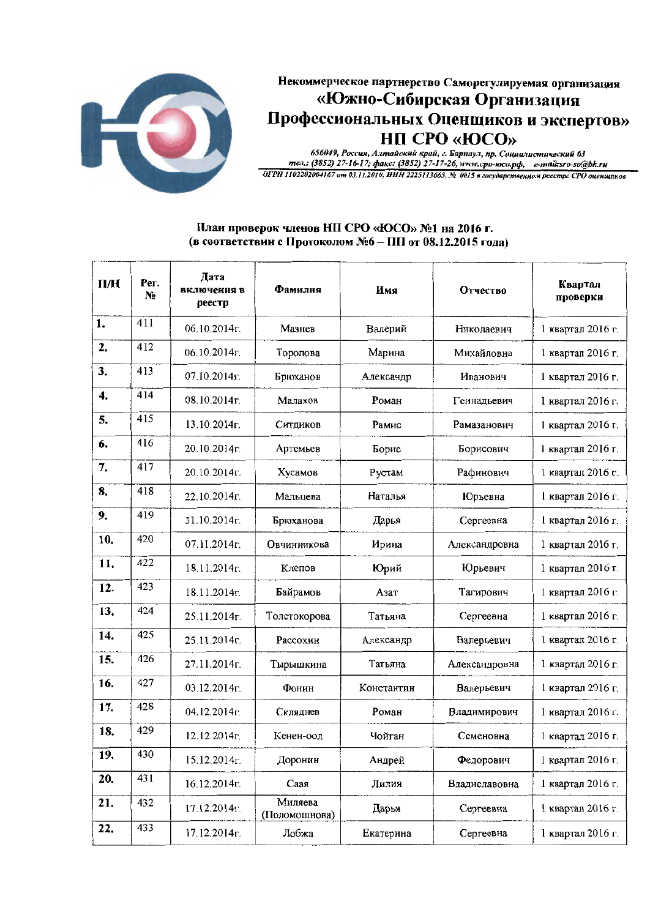

## Некоммерческое партнерство Саморегулируемая организация «Южно-Сибирская Организация Профессиональных Оценщиков и экспертов» **НП СРО «ЮСО»**

656049, Россия, Алтайский край, г. Барнаул, пр. Социилистический 63 тел.: (3852) 27-16-17; факс: (3852) 27-17-26, www.cpo-юсо.pd, e-mail:sro-so@bk.ru<br>ОГРН 1102202004167 от 03.11.2010, НИН 2225113663, № 0015 в государственном реестре СРО оценщиков

## План проверок членов НП СРО «ЮСО» №1 на 2016 г. (в соответствии с Протоколом №6 - ПП от 08.12.2015 года)

| $\Pi$ / $H$               | Per.<br>No | Дата<br>включения в<br>реестр             | Фамилия                  | Имя        | Отчество      | Квартал<br>проверки |
|---------------------------|------------|-------------------------------------------|--------------------------|------------|---------------|---------------------|
| 1.                        | 411        | 06.10.2014г.                              | Мазнев                   | Валерий    | Николаевич    | 1 квартал 2016 г.   |
| 2.                        | 412        | 06.10.2014г.                              | Торопова                 | Марина     | Михайловна    | 1 квартал 2016 г.   |
| 3.                        | 413        | 07.10.2014г.                              | Брюханов                 | Александр  | Иванович      | 1 квартал 2016 г.   |
| $\overline{\mathbf{4}}$ . | 414        | 08.10.2014г.                              | Малахов                  | Роман      | Геннадьевич   | 1 квартал 2016 г.   |
| 5.                        | 415        | 13.10.2014r.                              | Ситдиков                 | Рамис      | Рамазанович   | 1 квартал 2016 г.   |
| 6.                        | 416        | 20.10.2014r.                              | Артемьев                 | Борис      | Борисович     | 1 квартал 2016 г.   |
| 7.                        | 417        | 20.10.2014 <sub><math>\Gamma</math></sub> | Хусамов                  | Рустам     | Рафинович     | 1 квартал 2016 г.   |
| 8.                        | 418        | 22.10.2014г.                              | Мальцева                 | Наталья    | Юрьевна       | 1 квартал 2016 г.   |
| 9.                        | 419        | 31.10.2014r.                              | Брюханова                | Дарья      | Сергеевна     | 1 квартал 2016 г.   |
| 10.                       | 420        | 07.11.2014r.                              | Овчинникова              | Ирина      | Александровна | 1 квартал 2016 г.   |
| 11.                       | 422        | 18.11.2014 <sub><math>\Gamma</math></sub> | Клепов                   | Юрий       | Юрьевич       | 1 квартал 2016 г.   |
| 12.                       | 423        | 18.11.2014r.                              | Байрамов                 | Азат       | Тагирович     | 1 квартал 2016 г.   |
| 13.                       | 424        | 25.11.2014 <sub>r</sub> .                 | Толстокорова             | Татьяна    | Сергеевна     | 1 квартал 2016 г.   |
| 14.                       | 425        | 25.11.2014r.                              | Рассохин                 | Александр  | Валерьевич    | 1 квартал 2016 г.   |
| 15.                       | 426        | 27.11.2014г.                              | Тырышкина                | Татьяна    | Александровна | 1 квартал 2016 г.   |
| 16.                       | 427        | 03.12.2014г.                              | Фонин                    | Константин | Валерьевич    | 1 квартал 2016 г.   |
| 17.                       | 428        | 04.12.2014r.                              | Скляднев                 | Роман      | Владимирович  | 1 квартал 2016 г.   |
| 18.                       | 429        | 12.12.2014r.                              | Кенен-оол                | Чойган     | Семеновна     | 1 квартал 2016 г.   |
| 19.                       | 430        | 15.12.2014 <sub>г</sub> .                 | Доронин                  | Андрей     | Федорович     | 1 квартал 2016 г.   |
| 20.                       | 431        | 16.12.2014r.                              | Саая                     | Лилия      | Владиславовна | 1 квартал 2016 г.   |
| 21.                       | 432        | 17.12.2014r.                              | Миляева<br>(Поломошнова) | Дарья      | Сергеевна     | 1 квартал 2016 г.   |
| 22.                       | 433        | 17.12.2014г.                              | Лобжа                    | Екатерина  | Сергеевна     | 1 квартал 2016 г.   |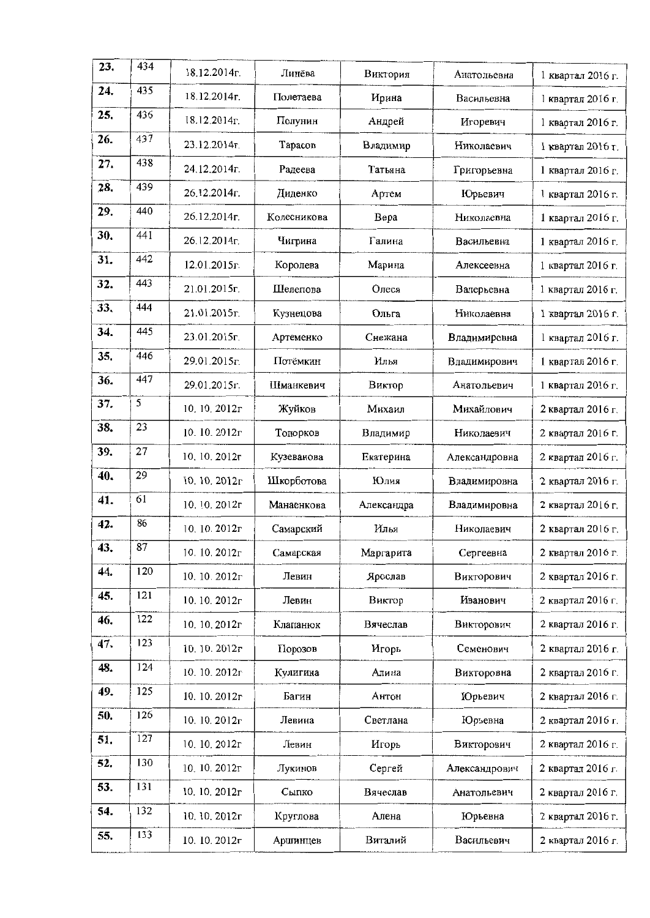| 23. | 434 | 18.12.2014 <sub>r</sub> . | Линёва      | Виктория   | Анатольевна   | 1 квартал 2016 г. |
|-----|-----|---------------------------|-------------|------------|---------------|-------------------|
| 24. | 435 | 18.12.2014r.              | Полетаева   | Ирина      | Васильевна    | 1 квартал 2016 г. |
| 25. | 436 | $18.12.2014r$ .           | Полунин     | Андрей     | Игоревич      | 1 квартал 2016 г. |
| 26. | 437 | 23.12.2014г.              | Тарасов     | Владимир   | Николаевич    | 1 квартал 2016 г. |
| 27. | 438 | 24.12.2014r.              | Радеева     | Татьяна    | Григорьевна   | 1 квартал 2016 г. |
| 28. | 439 | 26.12.2014г.              | Диденко     | Артем      | Юрьевич       | 1 квартал 2016 г. |
| 29. | 440 | 26.12.2014г.              | Колесникова | Bepa       | Николаевна    | 1 квартал 2016 г. |
| 30. | 441 | 26.12.2014r.              | Чигрина     | Галина     | Васильевна    | 1 квартал 2016 г. |
| 31. | 442 | 12.01.2015 <sub>r</sub> . | Королева    | Марина     | Алексеевна    | 1 квартал 2016 г. |
| 32. | 443 | 21.01.2015г.              | Шелепова    | Олеся      | Валерьевна    | 1 квартал 2016 г. |
| 33. | 444 | 21.01.2015r.              | Кузнецова   | Ольга      | Николаевна    | 1 квартал 2016 г. |
| 34. | 445 | 23.01.2015г.              | Артеменко   | Снежана    | Владимировна  | 1 квартал 2016 г. |
| 35. | 446 | 29.01.2015r.              | Потёмкин    | Илья       | Владимирович  | 1 квартал 2016 г. |
| 36. | 447 | 29.01.2015r.              | Шманкевич   | Виктор     | Анатольевич   | 1 квартал 2016 г. |
| 37. | 5   | 10, 10, 2012r             | Жуйков      | Михаил     | Михайлович    | 2 квартал 2016 г. |
| 38. | 23  | 10.10.2012r               | Топорков    | Владимир   | Николаевич    | 2 квартал 2016 г. |
| 39. | 27  | 10, 10, 2012r             | Кузеванова  | Екатерина  | Александровна | 2 квартал 2016 г. |
| 40. | 29  | 10.10.2012г               | Шкорботова  | Юлия       | Владимировна  | 2 квартал 2016 г. |
| 41. | 61  | 10.10.2012r               | Манаенкова  | Александра | Владимировна  | 2 квартал 2016 г. |
| 42. | 86  | 10.10.2012r               | Самарский   | Илья       | Николаевич    | 2 квартал 2016 г. |
| 43. | 87  | 10.10.2012r               | Самарская   | Маргарита  | Сергеевна     | 2 квартал 2016 г. |
| 44. | 120 | 10.10.2012r               | Левин       | Ярослав    | Викторович    | 2 квартал 2016 г. |
| 45. | 121 | 10.10.2012г               | Левин       | Виктор     | Иванович      | 2 квартал 2016 г. |
| 46. | 122 | 10.10.2012r               | Клапанюк    | Вячеслав   | Викторович    | 2 квартал 2016 г. |
| 47. | 123 | 10.10.2012r               | Порозов     | Игорь      | Семенович     | 2 квартал 2016 г. |
| 48. | 124 | 10.10.2012r               | Кулигина    | Алина      | Викторовна    | 2 квартал 2016 г. |
| 49. | 125 | 10.10.2012r               | Багин       | Антон      | Юрьевич       | 2 квартал 2016 г. |
| 50. | 126 | 10, 10, $2012r$           | Левина      | Светлана   | Юрьевна       | 2 квартал 2016 г. |
| 51. | 127 | 10.10.2012r               | Левин       | Игорь      | Викторович    | 2 квартал 2016 г. |
| 52. | 130 | 10.10.2012г               | Лукинов     | Сергей     | Александрович | 2 квартал 2016 г. |
| 53  | 131 | 10.10.2012r               | Сылко       | Вячеслав   | Анатольевич   | 2 квартал 2016 г. |
| 54. | 132 | 10.10.2012r               | Круглова    | Алена      | Юрьевна       | 2 квартал 2016 г. |
| 55. | 133 | 10.10.2012r               | Аршинцев    | Виталий    | Васильевич    | 2 квартал 2016 г. |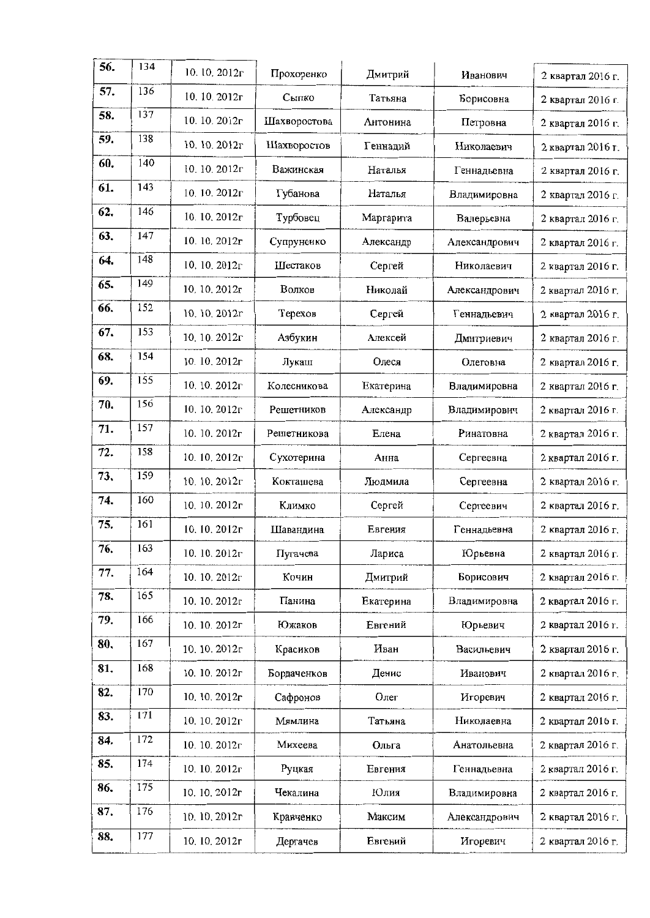| 56. | 134 | 10, 10, $2012r$ | Прохоренко   | Дмитрий   | Иванович      | 2 квартал 2016 г. |
|-----|-----|-----------------|--------------|-----------|---------------|-------------------|
| 57. | 136 | 10.10.2012г     | Сыпко        | Татьяна   | Борисовна     | 2 квартал 2016 г. |
| 58. | 137 | 10.10.2012r     | Шахворостова | Антонина  | Петровна      | 2 квартал 2016 г. |
| 59. | 138 | 10, 10, 2012r   | Шахворостов  | Геннадий  | Николаевич    | 2 квартал 2016 г. |
| 60. | 140 | 10.10.2012r     | Важинская    | Наталья   | Геннадьевна   | 2 квартал 2016 г. |
| 61. | 143 | 10.10.2012r     | Губанова     | Наталья   | Владимировна  | 2 квартал 2016 г. |
| 62. | 146 | 10.10.2012r     | Турбовец     | Маргарита | Валерьевна    | 2 квартал 2016 г. |
| 63. | 147 | 10.10.2012r     | Супруненко   | Александр | Александрович | 2 квартал 2016 г. |
| 64. | 148 | 10, 10, 2012г   | Шестаков     | Сергей    | Николаевич    | 2 квартал 2016 г. |
| 65. | 149 | 10, 10, $2012r$ | Волков       | Николай   | Александрович | 2 квартал 2016 г. |
| 66. | 152 | 10.10.2012r     | Терехов      | Сергей    | Геннадьевич   | 2 квартал 2016 г. |
| 67. | 153 | 10.10.2012r     | Азбукин      | Алексей   | Дмитриевич    | 2 квартал 2016 г. |
| 68. | 154 | 10.10.2012r     | Лукаш        | Олеся     | Олеговна      | 2 квартал 2016 г. |
| 69. | 155 | 10.10.2012г     | Колесникова  | Екатерина | Владимировна  | 2 квартал 2016 г. |
| 70. | 156 | 10.10.2012г     | Решетников   | Александр | Владимирович  | 2 квартал 2016 г. |
| 71. | 157 | 10.10.2012r     | Решетникова  | Елена     | Ринатовна     | 2 квартал 2016 г. |
| 72. | 158 | 10. 10. $2012r$ | Сухотерина   | Анна      | Сергеевна     | 2 квартал 2016 г. |
| 73, | 159 | 10.10.2012г     | Кокташева    | Людмила   | Сергеевна     | 2 квартал 2016 г. |
| 74. | 160 | 10, 10, 2012г   | Климко       | Сергей    | Сергеевич     | 2 квартал 2016 г. |
| 75. | 161 | 10.10.2012г     | Шавандина    | Евгения   | Геннадьевна   | 2 квартал 2016 г. |
| 76. | 163 | 10.10.2012r     | Пугачева     | Лариса    | Юрьевна       | 2 квартал 2016 г. |
| 77. | 164 | 10.10.2012r     | Кочин        | Дмитрий   | Борисович     | 2 квартал 2016 г. |
| 78. | 165 | 10.10.2012r     | Панина       | Екатерина | Владимировна  | 2 квартал 2016 г. |
| 79. | 166 | 10.10.2012r     | Южаков       | Евгений   | Юрьевич       | 2 квартал 2016 г. |
| 80, | 167 | 10.10.2012r     | Красиков     | Иван      | Васильевич    | 2 квартал 2016 г. |
| 81. | 168 | 10. 10. 2012r   | Бордаченков  | Денис     | Иванович      | 2 квартал 2016 г. |
| 82. | 170 | 10.10.2012r     | Сафронов     | Олег      | Игоревич      | 2 квартал 2016 г. |
| 83. | 171 | 10.10.2012г     | Мямлина      | Татьяна   | Николаевна    | 2 квартал 2016 г. |
| 84. | 172 | 10.10.2012r     | Михеева      | Ольга     | Анатольевна   | 2 квартал 2016 г. |
| 85. | 174 | 10.10.2012r     | Руцкая       | Евгения   | Геннадьевна   | 2 квартал 2016 г. |
| 86. | 175 | 10.10.2012r     | Чекалина     | Юлия      | Владимировна  | 2 квартал 2016 г. |
| 87. | 176 | 10, 10, 2012r   | Кравченко    | Максим    | Александрович | 2 квартал 2016 г. |
| 88. | 177 | 10. 10. 2012r   | Дергачев     | Евгений   | Игоревич      | 2 квартал 2016 г. |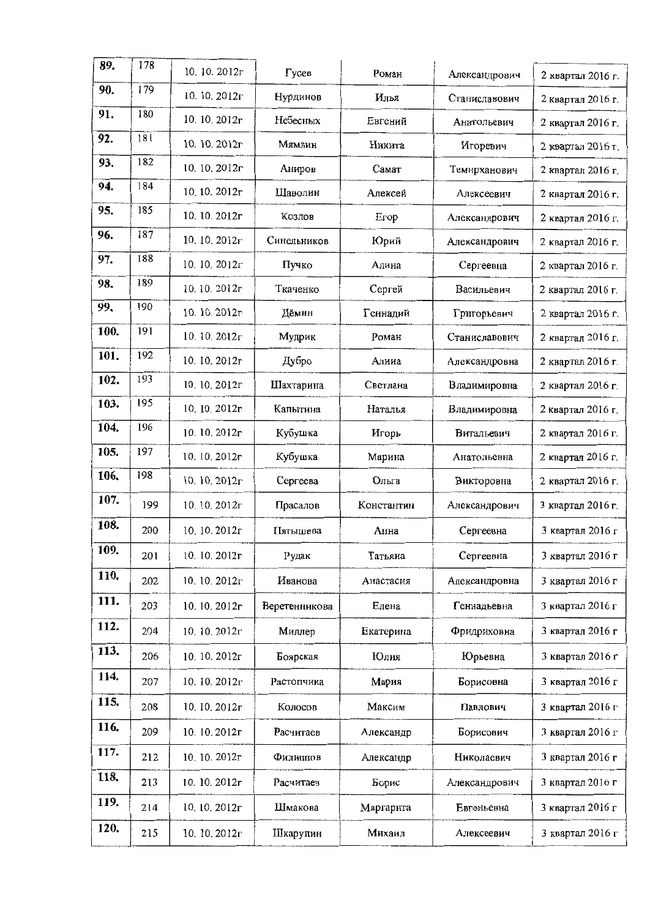| 89.  | 178 | 10.10.2012r         | Гусев         | Роман      | Александрович | 2 квартал 2016 г. |
|------|-----|---------------------|---------------|------------|---------------|-------------------|
| 90.  | 179 | 10. 10. 2012r       | Нурдинов      | Илья       | Станиславович | 2 квартал 2016 г. |
| 91.  | 180 | 10.10.2012г         | Небесных      | Евгений    | Анатольевич   | 2 квартал 2016 г. |
| 92.  | 181 | 10.10.2012r         | Мямлин        | Никита     | Игоревич      | 2 квартал 2016 г. |
| 93.  | 182 | 10.10.2012r         | Аниров        | Самат      | Темирханович  | 2 квартал 2016 г. |
| 94.  | 184 | 10.10.2012r         | Шаволин       | Алексей    | Алексеевич    | 2 квартал 2016 г. |
| 95.  | 185 | 10.10.2012г         | Козлов        | Erop       | Александрович | 2 квартал 2016 г. |
| 96.  | 187 | 10.10.2012г         | Синельников   | Юрий       | Александрович | 2 квартал 2016 г. |
| 97.  | 188 | 10.10.2012г         | Пучко         | Алина      | Сергеевна     | 2 квартал 2016 г. |
| 98.  | 189 | 10.10.2012r         | Ткаченко      | Сергей     | Васильевич    | 2 квартал 2016 г. |
| 99,  | 190 | 10, 10, 2012 $\tau$ | Дёмин         | Геннадий   | Григорьевич   | 2 квартал 2016 г. |
| 100. | 191 | 10.10.2012 $\Gamma$ | Мудрик        | Роман      | Станиславович | 2 квартал 2016 г. |
| 101. | 192 | 10.10.2012r         | Дубро         | Алииа      | Александровна | 2 квартал 2016 г. |
| 102. | 193 | 10, 10, 2012r       | Шахтарина     | Светлана   | Владимировна  | 2 квартал 2016 г. |
| 103. | 195 | 10.10.2012r         | Капытина      | Наталья    | Владимировна  | 2 квартал 2016 г. |
| 104. | 196 | 10.10.2012r         | Кубушка       | Игорь      | Витальевич    | 2 квартал 2016 г. |
| 105. | 197 | 10.10.2012r         | Кубушка       | Марина     | Анатольевна   | 2 квартал 2016 г. |
| 106. | 198 | 10.10.2012 $r$      | Сергеева      | Ольга      | Викторовна    | 2 квартал 2016 г. |
| 107. | 199 | 10.10.2012r         | Прасалов      | Константин | Александрович | 3 квартал 2016 г. |
| 108. | 200 | 10, 10, 2012r       | Пятышева      | Анна       | Сергеевна     | 3 квартал 2016 г  |
| 109. | 201 | 10.10.2012г         | Рудак         | Татьяиа    | Сергеевна     | 3 квартал 2016 г  |
| 110. | 202 | 10, 10, 2012r       | Иванова       | Анастасия  | Александровна | 3 квартал 2016 г  |
| 111. | 203 | 10.10.2012r         | Веретенникова | Елена      | Геннадьевна   | 3 квартал 2016 г  |
| 112. | 204 | 10.10.2012r         | Миллер        | Екатерина  | Фридриховна   | 3 квартал 2016 г  |
| 113. | 206 | 10, 10, 2012r       | Боярская      | Юлия       | Юрьевна       | 3 квартал 2016 г  |
| 114. | 207 | 10.10.2012r         | Растопчина    | Мария      | Борисовна     | 3 квартал 2016 г  |
| 115. | 208 | 10.10.2012г         | Колосов       | Максим     | Павлович      | 3 квартал 2016 г  |
| 116. | 209 | 10.10.2012r         | Расчитаев     | Александр  | Борисович     | 3 квартал 2016 г  |
| 117. | 212 | 10.10.2012r         | Филиппов      | Александр  | Николаевич    | 3 квартал 2016 г  |
| 118. | 213 | 10. 10. 2012г       | Расчитаев     | Борис      | Александрович | 3 квартал 2016 г  |
| 119. | 214 | 10.10.2012r         | Шмакова       | Маргарита  | Евгеньевна    | 3 квартал 2016 г  |
| 120. | 215 | 10.10.2012r         | Шкарупин      | Михаил     | Алексеевич    | 3 квартал 2016 г  |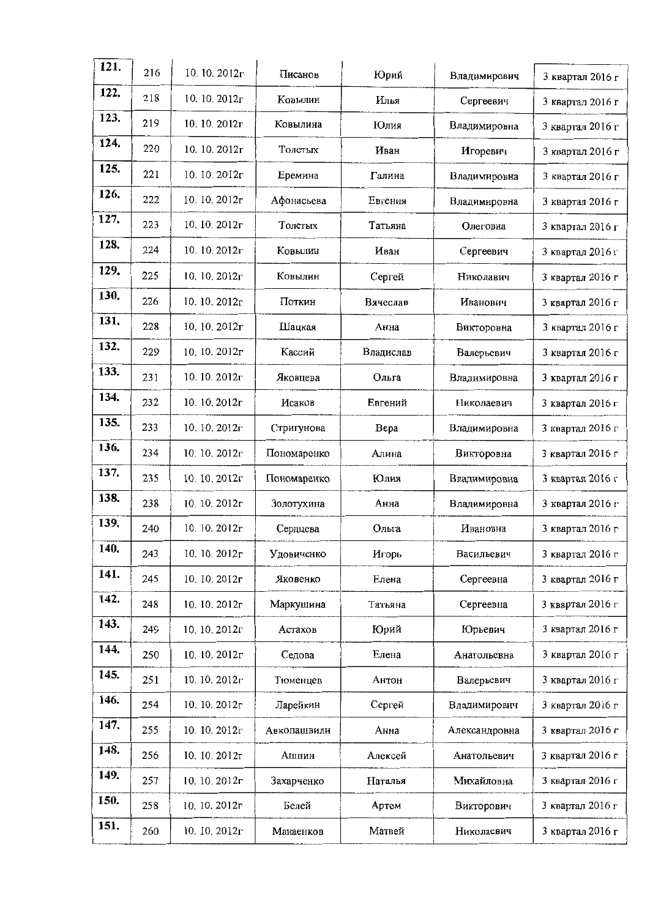| 121. | 216 | 10.10.2012 $\Gamma$ | Писанов     | Юрий      | Владимирович  | 3 квартал 2016 г |
|------|-----|---------------------|-------------|-----------|---------------|------------------|
| 122. |     |                     |             |           |               |                  |
|      | 218 | 10, 10, 2012r       | Ковылин     | Илья      | Сергеевич     | 3 квартал 2016 г |
| 123. | 219 | 10.10.2012г         | Ковылина    | Юлия      | Владимировна  | 3 квартал 2016 г |
| 124. | 220 | 10. 10. 2012r       | Толстых     | Иван      | Игоревич      | 3 квартал 2016 г |
| 125. | 221 | $10.10.2012\Gamma$  | Еремина     | Галина    | Владимировна  | 3 квартал 2016 г |
| 126. | 222 | $10.10.2012\Gamma$  | Афонасьева  | Евгения   | Владимировна  | 3 квартал 2016 г |
| 127. | 223 | 10.10.2012r         | Толстых     | Татьяна   | Олеговна      | 3 квартал 2016 г |
| 128. | 224 | 10.10.2012r         | Ковылин     | Иван      | Сергеевич     | 3 квартал 2016 г |
| 129. | 225 | 10, 10, $2012r$     | Ковылин     | Сергей    | Николавич     | 3 квартал 2016 г |
| 130. | 226 | 10.10.2012 $\Gamma$ | Поткин      | Вячеслав  | Иванович      | 3 квартал 2016 г |
| 131. | 228 | 10. 10. 2012г       | Шацкая      | Анна      | Викторовна    | 3 квартал 2016 г |
| 132. | 229 | 10.10.2012r         | Кассий      | Владислав | Валерьевич    | 3 квартал 2016 г |
| 133. | 231 | 10.10.2012r         | Яковцева    | Ольга     | Владимировна  | 3 квартал 2016 г |
| 134. | 232 | 10.10.2012r         | Исаков      | Евгений   | Николаевич    | 3 квартал 2016 г |
| 135. | 233 | 10.10.2012r         | Стригунова  | Bepa      | Владимировна  | 3 квартал 2016 г |
| 136. | 234 | 10.10.2012г         | Пономаренко | Алина     | Викторовна    | 3 квартал 2016 г |
| 137. | 235 | 10.10.2012r         | Пономаренко | Юлия      | Владимировна  | 3 квартал 2016 г |
| 138. | 238 | 10.10.2012r         | Золотухина  | Анна      | Владимировна  | 3 квартал 2016 г |
| 139. | 240 | 10.10.2012r         | Сердцева    | Ольга     | Ивановна      | 3 квартал 2016 г |
| 140. | 243 | 10.10.2012r         | Удовиченко  | Игорь     | Васильевич    | 3 квартал 2016 г |
| 141. | 245 | 10.10.2012г         | Яковенко    | Елена     | Сергеевна     | 3 квартал 2016 г |
| 142. | 248 | 10.10.2012r         | Маркушина   | Татьяна   | Сергеевна     | 3 квартал 2016 г |
| 143. | 249 | 10, 10, 2012r       | Астахов     | Юрий      | Юрьевич       | 3 квартал 2016 г |
| 144. | 250 | 10.10.2012r         | Седова      | Елена     | Анатольевна   | 3 квартал 2016 г |
| 145. | 251 | 10.10.2012г         | Тюменцев    | Антон     | Валерьевич    | 3 квартал 2016 г |
| 146. | 254 | 10.10.2012r         | Ларейкин    | Сергей    | Владимирович  | 3 квартал 2016 г |
| 147. | 255 | 10.10.2012г         | Авкопашвили | Анна      | Александровна | 3 квартал 2016 г |
| 148. | 256 | 10.10.2012r         | Ашпин       | Алексей   | Анатольевич   | 3 квартал 2016 г |
| 149. | 257 | 10.10.2012r         | Захарченко  | Наталья   | Михайловна    | 3 квартал 2016 г |
| 150. | 258 | 10.10.2012r         | Белей       | Артем     | Викторович    | 3 квартал 2016 г |
| 151. | 260 | 10. 10. $2012r$     | Манаенков   | Матвей    | Николаевич    | 3 квартал 2016 г |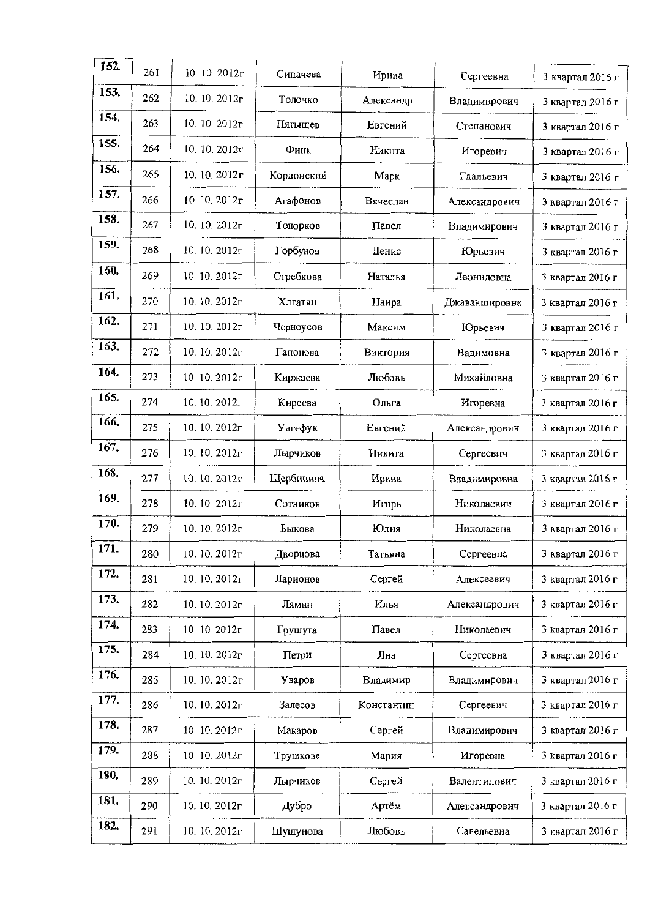| 152. | 261 | 10.10.2012r   | Сипачева   | Ирина      | Сергеевна       | 3 квартал 2016 г |
|------|-----|---------------|------------|------------|-----------------|------------------|
| 153. | 262 | 10.10.2012r   | Толочко    | Александр  | Владимирович    | 3 квартал 2016 г |
| 154. | 263 | 10.10.2012r   | Пятышев    | Евгений    | Степанович      | 3 квартал 2016 г |
| 155. | 264 | 10.10.2012r   | Финк       | Никита     | Игоревич        | 3 квартал 2016 г |
| 156. | 265 | 10.10.2012r   | Кордонский | Марк       | Гдальевич       | 3 квартал 2016 г |
| 157. | 266 | 10.10.2012r   | Агафонов   | Вячеслав   | Александрович   | 3 квартал 2016 г |
| 158. | 267 | 10.10.2012r   | Топорков   | Павел      | Владимирович    | 3 квартал 2016 г |
| 159. | 268 | 10.10.2012r   | Горбунов   | Денис      | Юрьевич         | 3 квартал 2016 г |
| 160. | 269 | 10.10.2012r   | Стребкова  | Наталья    | Леонидовна      | 3 квартал 2016 г |
| 161. | 270 | 10.10.2012r   | Хлгатян    | Наира      | Джаваншировна   | 3 квартал 2016 г |
| 162. | 271 | 10.10.2012r   | Черноусов  | Максим     | <b>ПОрьевич</b> | 3 квартал 2016 г |
| 163. | 272 | 10.10.2012r   | Гапонова   | Виктория   | Вадимовна       | 3 квартал 2016 г |
| 164. | 273 | 10.10.2012r   | Киржаева   | Любовь     | Михайловна      | 3 квартал 2016 г |
| 165. | 274 | 10.10.2012r   | Киреева    | Ольга      | Игоревна        | 3 квартал 2016 г |
| 166. | 275 | 10.10.2012r   | Унгефук    | Евгений    | Александрович   | 3 квартал 2016 г |
| 167. | 276 | 10.10.2012г   | Лырчиков   | Никита     | Сергеевич       | 3 квартал 2016 г |
| 168. | 277 | 10.10.2012r   | Щербинина  | Ирина      | Владимировна    | 3 квартал 2016 г |
| 169. | 278 | 10.10.2012г   | Сотников   | Игорь      | Николаевич      | 3 квартал 2016 г |
| 170. | 279 | 10.10.2012r   | Быкова     | Юлия       | Николаевна      | 3 квартал 2016 г |
| 171. | 280 | 10.10.2012r   | Дворцова   | Татьяна    | Сергеевна       | 3 квартал 2016 г |
| 172. | 281 | 10.10.2012r   | Ларионов   | Сергей     | Алексеевич      | 3 квартал 2016 г |
| 173. | 282 | 10.10.2012r   | Лямин      | Илья       | Александрович   | 3 квартал 2016 г |
| 174. | 283 | 10.10.2012r   | Грушута    | Павел      | Николаевич      | 3 квартал 2016 г |
| 175. | 284 | 10, 10, 2012r | Петри      | Яна        | Сергеевна       | 3 квартал 2016 г |
| 176. | 285 | 10.10.2012r   | Уваров     | Владимир   | Владимирович    | 3 квартал 2016 г |
| 177. | 286 | 10.10.2012г   | Залесов    | Константин | Сергеевич       | 3 квартал 2016 г |
| 178. | 287 | 10.10.2012г   | Макаров    | Сергей     | Владимирович    | 3 квартал 2016 г |
| 179. | 288 | 10.10.2012r   | Трушкова   | Мария      | Игоревна        | 3 квартал 2016 г |
| 180. | 289 | 10.10.2012г   | Лырчиков   | Сергей     | Валентинович    | 3 квартал 2016 г |
| 181. | 290 | 10.10.2012r   | Дубро      | Артём      | Александрович   | 3 квартал 2016 г |
| 182. | 291 | 10.10.2012r   | Шушунова   | Любовь     | Савельевна      | 3 квартал 2016 г |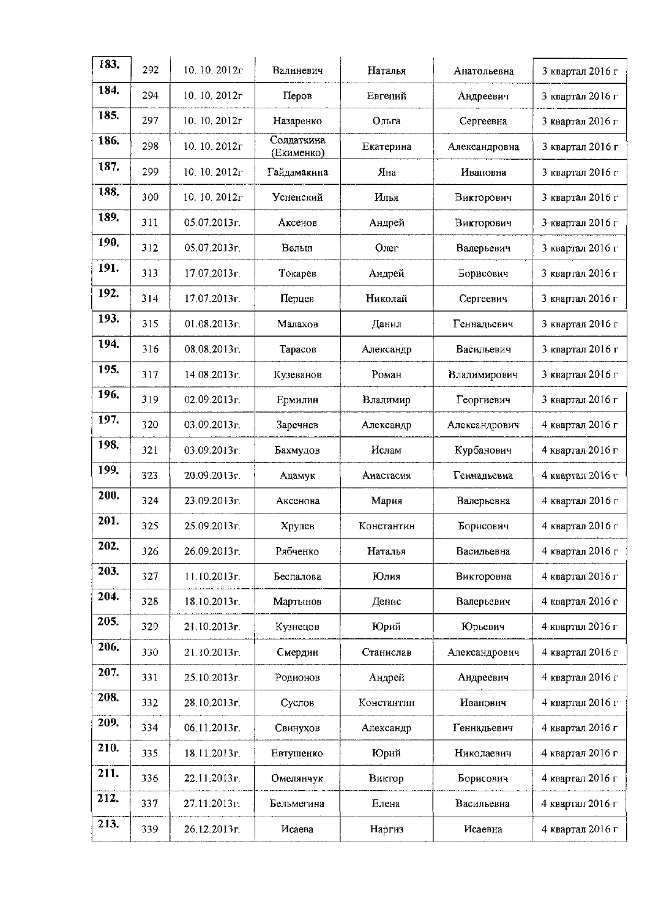| 183. | 292 | 10.10.2012r   | Валиневич                | Наталья    | Анатольевна   | 3 квартал 2016 г |
|------|-----|---------------|--------------------------|------------|---------------|------------------|
| 184. | 294 | 10, 10, 2012r | Перов                    | Евгений    | Андреевич     | 3 квартал 2016 г |
| 185. | 297 | 10, 10, 2012г | Назаренко                | Ольга      | Сергеевна     | 3 квартал 2016 г |
| 186. | 298 | 10.10.2012г   | Солдаткина<br>(Екименко) | Екатерина  | Александровна | 3 квартал 2016 г |
| 187. | 299 | 10.10.2012r   | Гайдамакина              | Яна        | Ивановна      | 3 квартал 2016 г |
| 188. | 300 | 10.10.2012r   | Успенский                | Илья       | Викторович    | 3 квартал 2016 г |
| 189. | 311 | 05.07.2013r.  | Аксенов                  | Андрей     | Викторович    | 3 квартал 2016 г |
| 190. | 312 | 05.07.2013г.  | Вельш                    | Олег       | Валерьевич    | 3 квартал 2016 г |
| 191. | 313 | 17.07.2013г.  | Токарев                  | Андрей     | Борисович     | 3 квартал 2016 г |
| 192. | 314 | 17.07.2013г.  | Перцев                   | Николай    | Сергеевич     | 3 квартал 2016 г |
| 193. | 315 | 01.08.2013г.  | Малахов                  | Данил      | Геннадьевич   | 3 квартал 2016 г |
| 194. | 316 | 08.08.2013г.  | Тарасов                  | Александр  | Васильевич    | 3 квартал 2016 г |
| 195. | 317 | 14.08.2013r.  | Кузеванов                | Роман      | Владимирович  | 3 квартал 2016 г |
| 196. | 319 | 02.09.2013г.  | Ермилин                  | Владимир   | Георгиевич    | 3 квартал 2016 г |
| 197. | 320 | 03.09.2013г.  | Заречнев                 | Александр  | Александрович | 4 квартал 2016 г |
| 198. | 321 | 03.09.2013г.  | Бахмудов                 | Ислам      | Курбанович    | 4 квартал 2016 г |
| 199. | 323 | 20.09.2013r.  | Адамук                   | Анастасия  | Геннадьевна   | 4 квартал 2016 г |
| 200. | 324 | 23.09.2013г.  | Аксенова                 | Мария      | Валерьевна    | 4 квартал 2016 г |
| 201. | 325 | 25.09.2013г.  | Хрулев                   | Константин | Борисович     | 4 квартал 2016 г |
| 202  | 326 | 26.09.2013г.  | Рябченко                 | Наталья    | Васильевна    | 4 квартал 2016 г |
| 203. | 327 | 11.10.2013г.  | Беспалова                | Юлия       | Викторовна    | 4 квартал 2016 г |
| 204. | 328 | 18.10.2013г.  | Мартынов                 | Денис      | Валерьевич    | 4 квартал 2016 г |
| 205. | 329 | 21.10.2013г.  | Кузнецов                 | Юрий       | Юрьевич       | 4 квартал 2016 г |
| 206. | 330 | 21.10.2013г.  | Смердин                  | Станислав  | Александрович | 4 квартал 2016 г |
| 207. | 331 | 25.10.2013г.  | Родионов                 | Андрей     | Андреевич     | 4 квартал 2016 г |
| 208. | 332 | 28.10.2013г.  | Суслов                   | Константин | Иванович      | 4 квартал 2016 г |
| 209. | 334 | 06.11.2013г.  | Свинухов                 | Александр  | Геннадьевич   | 4 квартал 2016 г |
| 210. | 335 | 18.11.2013г.  | Евтушенко                | Юрий       | Николаевич    | 4 квартал 2016 г |
| 211. | 336 | 22.11.2013 г. | Омелянчук                | Виктор     | Борисович     | 4 квартал 2016 г |
| 212. | 337 | 27.11.2013г.  | Бельмегина               | Елена      | Васильевна    | 4 квартал 2016 г |
| 213. | 339 | 26.12.2013г.  | Исаева                   | Наргиз     | Исаевна       | 4 квартал 2016 г |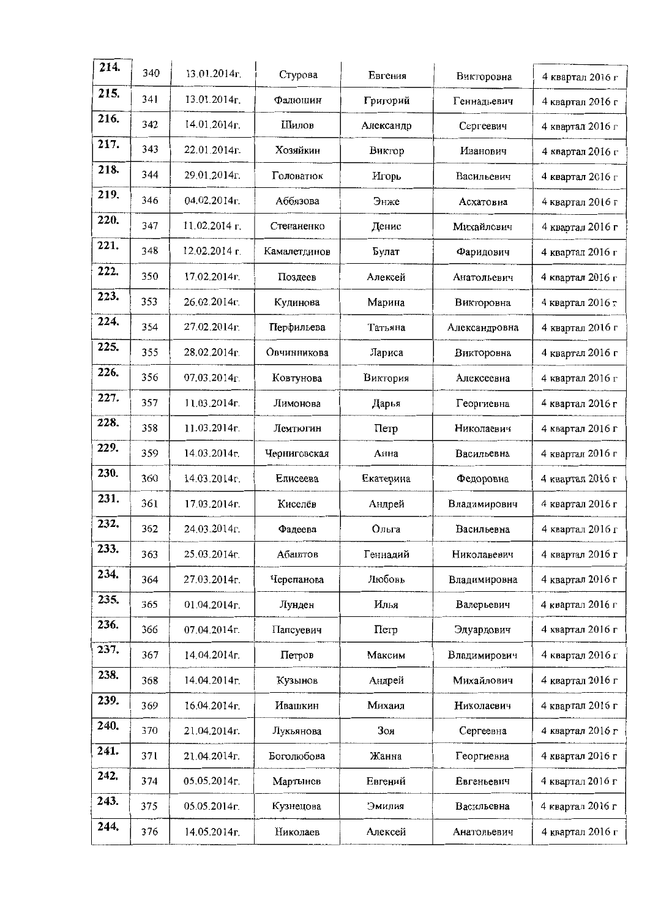| 214. | 340 | 13.01.2014 <sub>r</sub>   | Стурова      | Евгения   | Викторовна    | 4 квартал 2016 г |
|------|-----|---------------------------|--------------|-----------|---------------|------------------|
| 215. | 341 | 13.01.2014r.              | Фадюшин      | Григорий  | Геннадьевич   | 4 квартал 2016 г |
| 216. | 342 | 14.01.2014r.              | Шилов        | Александр | Сергеевич     | 4 квартал 2016 г |
| 217. | 343 | 22.01.2014г.              | Хозяйкин     | Виктор    | Иванович      | 4 квартал 2016 г |
| 218. | 344 | 29.01.2014r.              | Головатюк    | Игорь     | Васильевич    | 4 квартал 2016 г |
| 219. | 346 | 04.02.2014г.              | Аббязова     | Энже      | Асхатовна     | 4 квартал 2016 г |
| 220. | 347 | 11.02.2014 г.             | Степаненко   | Денис     | Михайлович    | 4 квартал 2016 г |
| 221. | 348 | 12.02.2014 г.             | Камалетдинов | Булат     | Фаридович     | 4 квартал 2016 г |
| 222. | 350 | 17.02.2014r.              | Поздеев      | Алексей   | Анатольевич   | 4 квартал 2016 г |
| 223. | 353 | 26.02.2014г.              | Кудинова     | Марина    | Викторовна    | 4 квартал 2016 г |
| 224. | 354 | 27.02.2014r.              | Перфильева   | Татьяна   | Александровна | 4 квартал 2016 г |
| 225. | 355 | 28.02.2014 <sub>D</sub>   | Овчинникова  | Лариса    | Викторовна    | 4 квартал 2016 г |
| 226. | 356 | 07.03.2014 <sub>D</sub> . | Ковтунова    | Виктория  | Алексеевна    | 4 квартал 2016 г |
| 227. | 357 | $11.03.2014r$ .           | Лимонова     | Дарья     | Георгиевна    | 4 квартал 2016 г |
| 228. | 358 | 11.03.2014r.              | Лемтюгин     | Петр      | Николаевич    | 4 квартал 2016 г |
| 229. | 359 | 14.03.2014r.              | Черниговская | Анна      | Васильевна    | 4 квартал 2016 г |
| 230. | 360 | 14.03.2014r.              | Елисеева     | Екатерина | Федоровна     | 4 квартал 2016 г |
| 231. | 361 | 17.03.2014r.              | Киселёв      | Андрей    | Владимирович  | 4 квартал 2016 г |
| 232. | 362 | 24.03.2014r.              | Фадеева      | Ольга     | Васильевна    | 4 квартал 2016 г |
| 233. | 363 | 25,03.2014r.              | Абаштов      | Геннадий  | Николавевич   | 4 квартал 2016 г |
| 234. | 364 | 27.03.2014r.              | Черепанова   | Любовь    | Владимировна  | 4 квартал 2016 г |
| 235. | 365 | 01.04.2014r.              | Лунден       | Илья      | Валерьевич    | 4 квартал 2016 г |
| 236. | 366 | 07.04.2014г.              | Папсуевич    | Петр      | Эдуардович    | 4 квартал 2016 г |
| 237. | 367 | 14.04.2014r.              | Петров       | Максим    | Владимирович  | 4 квартал 2016 г |
| 238. | 368 | 14.04.2014r.              | Кузынов      | Андрей    | Михайлович    | 4 квартал 2016 г |
| 239. | 369 | 16.04.2014г.              | Ивашкин      | Михаил    | Николаевич    | 4 квартал 2016 г |
| 240. | 370 | 21.04.2014г.              | Лукьянова    | Зоя       | Сергеевна     | 4 квартал 2016 г |
| 241. | 371 | 21.04.2014г.              | Боголюбова   | Жанна     | Георгиевна    | 4 квартал 2016 г |
| 242. | 374 | 05.05.2014r.              | Мартынов     | Евгений   | Евгеньевич    | 4 квартал 2016 г |
| 243. | 375 | 05.05.2014г.              | Кузнецова    | Эмилия    | Васильевна    | 4 квартал 2016 г |
| 244. | 376 | 14.05.2014г.              | Николаев     | Алексей   | Анатольевич   | 4 квартал 2016 г |